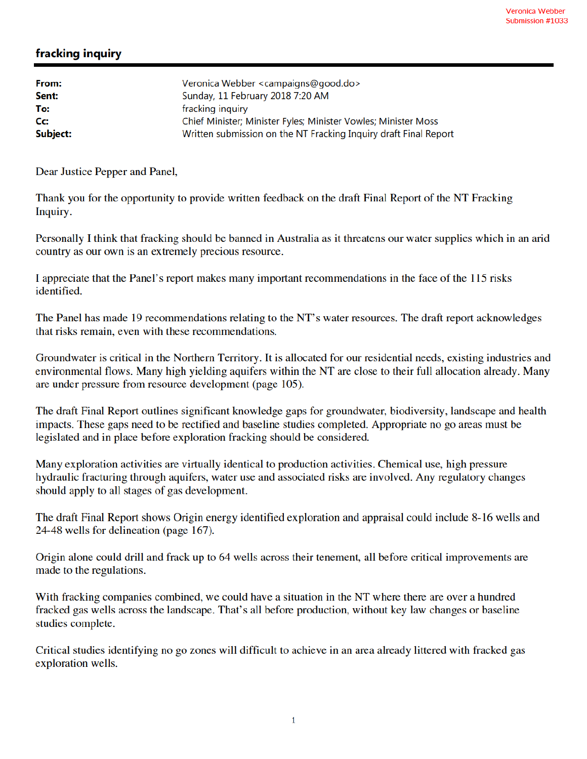## fracking inquiry

| Veronica Webber <campaigns@good.do></campaigns@good.do>          |
|------------------------------------------------------------------|
| Sunday, 11 February 2018 7:20 AM                                 |
| fracking inquiry                                                 |
| Chief Minister; Minister Fyles; Minister Vowles; Minister Moss   |
| Written submission on the NT Fracking Inquiry draft Final Report |
|                                                                  |

Dear Justice Pepper and Panel,

Thank you for the opportunity to provide written feedback on the draft Final Report of the NT Fracking Inquiry.

Personally I think that fracking should be banned in Australia as it threatens our water supplies which in an arid country as our own is an extremely precious resource.

I appreciate that the Panel's report makes many important recommendations in the face of the 115 risks identified.

The Panel has made 19 recommendations relating to the NT's water resources. The draft report acknowledges that risks remain, even with these recommendations.

Groundwater is critical in the Northern Territory. It is allocated for our residential needs, existing industries and environmental flows. Many high yielding aquifers within the NT are close to their full allocation already. Many are under pressure from resource development (page 105).

The draft Final Report outlines significant knowledge gaps for groundwater, biodiversity, landscape and health impacts. These gaps need to be rectified and baseline studies completed. Appropriate no go areas must be legislated and in place before exploration fracking should be considered.

Many exploration activities are virtually identical to production activities. Chemical use, high pressure hydraulic fracturing through aquifers, water use and associated risks are involved. Any regulatory changes should apply to all stages of gas development.

The draft Final Report shows Origin energy identified exploration and appraisal could include 8-16 wells and 24-48 wells for delineation (page 167).

Origin alone could drill and frack up to 64 wells across their tenement, all before critical improvements are made to the regulations.

With fracking companies combined, we could have a situation in the NT where there are over a hundred fracked gas wells across the landscape. That's all before production, without key law changes or baseline studies complete.

Critical studies identifying no go zones will difficult to achieve in an area already littered with fracked gas exploration wells.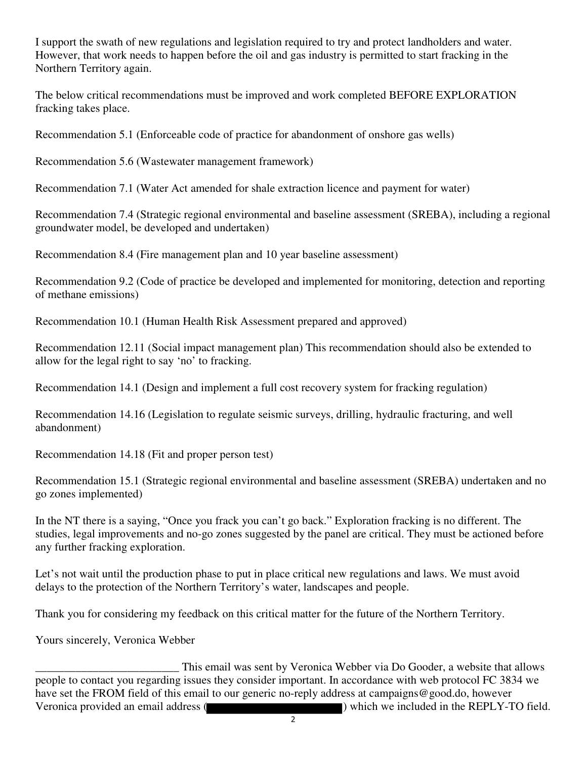I support the swath of new regulations and legislation required to try and protect landholders and water. However, that work needs to happen before the oil and gas industry is permitted to start fracking in the Northern Territory again.

The below critical recommendations must be improved and work completed BEFORE EXPLORATION fracking takes place.

Recommendation 5.1 (Enforceable code of practice for abandonment of onshore gas wells)

Recommendation 5.6 (Wastewater management framework)

Recommendation 7.1 (Water Act amended for shale extraction licence and payment for water)

Recommendation 7.4 (Strategic regional environmental and baseline assessment (SREBA), including a regional groundwater model, be developed and undertaken)

Recommendation 8.4 (Fire management plan and 10 year baseline assessment)

Recommendation 9.2 (Code of practice be developed and implemented for monitoring, detection and reporting of methane emissions)

Recommendation 10.1 (Human Health Risk Assessment prepared and approved)

Recommendation 12.11 (Social impact management plan) This recommendation should also be extended to allow for the legal right to say 'no' to fracking.

Recommendation 14.1 (Design and implement a full cost recovery system for fracking regulation)

Recommendation 14.16 (Legislation to regulate seismic surveys, drilling, hydraulic fracturing, and well abandonment)

Recommendation 14.18 (Fit and proper person test)

Recommendation 15.1 (Strategic regional environmental and baseline assessment (SREBA) undertaken and no go zones implemented)

In the NT there is a saying, "Once you frack you can't go back." Exploration fracking is no different. The studies, legal improvements and no-go zones suggested by the panel are critical. They must be actioned before any further fracking exploration.

Let's not wait until the production phase to put in place critical new regulations and laws. We must avoid delays to the protection of the Northern Territory's water, landscapes and people.

Thank you for considering my feedback on this critical matter for the future of the Northern Territory.

Yours sincerely, Veronica Webber

This email was sent by Veronica Webber via Do Gooder, a website that allows<br>people to contact you regarding issues they consider important. In accordance with web protocol FC 3834 we have set the FROM field of this email to our generic no-reply address at campaigns@good.do, however Veronica provided an email address ( ) which we included in the REPLY-TO field.